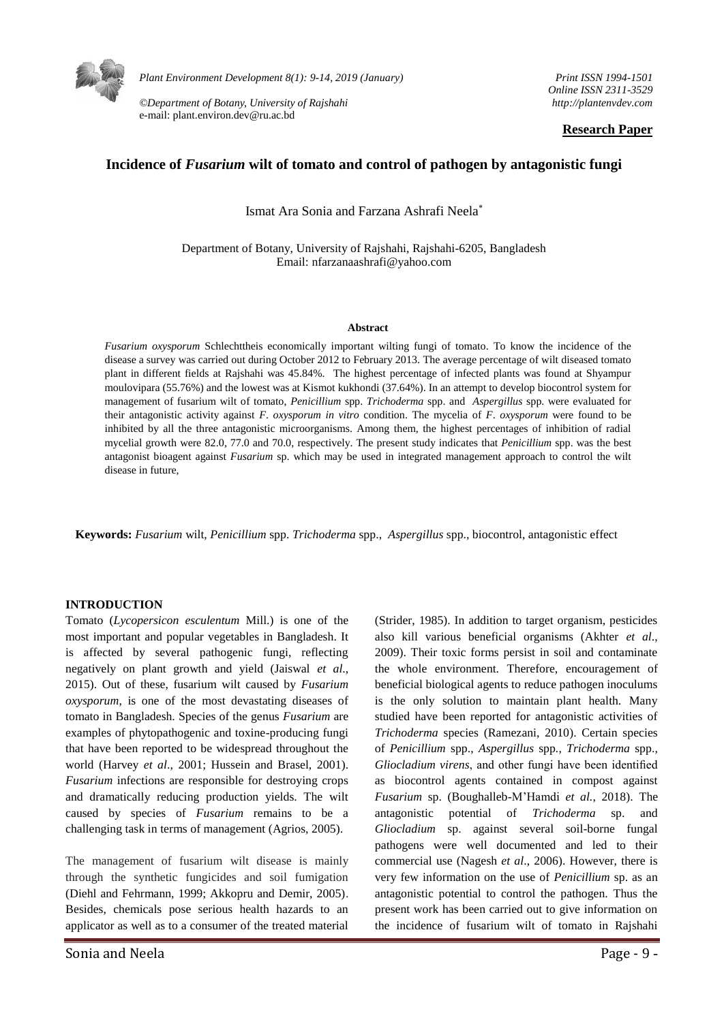

*Plant Environment Development 8(1): 9-14, 2019 (January)* 

*©Department of Botany, University of Rajshahi*  e-mail: plant.environ.dev@ru.ac.bd

*Print ISSN 1994-1501 Online ISSN 2311-3529 http://plantenvdev.com* 

### **Research Paper**

# **Incidence of** *Fusarium* **wilt of tomato and control of pathogen by antagonistic fungi**

Ismat Ara Sonia and Farzana Ashrafi Neela

Department of Botany, University of Rajshahi, Rajshahi-6205, Bangladesh Email: nfarzanaashrafi@yahoo.com

#### **Abstract**

*Fusarium oxysporum* Schlechttheis economically important wilting fungi of tomato. To know the incidence of the disease a survey was carried out during October 2012 to February 2013. The average percentage of wilt diseased tomato plant in different fields at Rajshahi was 45.84%. The highest percentage of infected plants was found at Shyampur moulovipara (55.76%) and the lowest was at Kismot kukhondi (37.64%). In an attempt to develop biocontrol system for management of fusarium wilt of tomato, *Penicillium* spp. *Trichoderma* spp. and *Aspergillus* spp. were evaluated for their antagonistic activity against *F*. *oxysporum in vitro* condition. The mycelia of *F*. *oxysporum* were found to be inhibited by all the three antagonistic microorganisms. Among them, the highest percentages of inhibition of radial mycelial growth were 82.0, 77.0 and 70.0, respectively. The present study indicates that *Penicillium* spp. was the best antagonist bioagent against *Fusarium* sp. which may be used in integrated management approach to control the wilt disease in future,

**Keywords:** *Fusarium* wilt*, Penicillium* spp. *Trichoderma* spp., *Aspergillus* spp., biocontrol, antagonistic effect

## **INTRODUCTION**

Tomato (*Lycopersicon esculentum* Mill.) is one of the most important and popular vegetables in Bangladesh. It is affected by several pathogenic fungi, reflecting negatively on plant growth and yield (Jaiswal *et al*., 2015). Out of these, fusarium wilt caused by *Fusarium oxysporum*, is one of the most devastating diseases of tomato in Bangladesh. Species of the genus *Fusarium* are examples of phytopathogenic and toxine-producing fungi that have been reported to be widespread throughout the world (Harvey *et al*., 2001; Hussein and Brasel, 2001). *Fusarium* infections are responsible for destroying crops and dramatically reducing production yields. The wilt caused by species of *Fusarium* remains to be a challenging task in terms of management (Agrios, 2005).

The management of fusarium wilt disease is mainly through the synthetic fungicides and soil fumigation (Diehl and Fehrmann, 1999; Akkopru and Demir, 2005). Besides, chemicals pose serious health hazards to an applicator as well as to a consumer of the treated material (Strider, 1985). In addition to target organism, pesticides also kill various beneficial organisms (Akhter *et al*., 2009). Their toxic forms persist in soil and contaminate the whole environment. Therefore, encouragement of beneficial biological agents to reduce pathogen inoculums is the only solution to maintain plant health. Many studied have been reported for antagonistic activities of *Trichoderma* species (Ramezani, 2010). Certain species of *Penicillium* spp., *Aspergillus* spp*., Trichoderma* spp., *Gliocladium virens*, and other fungi have been identified as biocontrol agents contained in compost against *Fusarium* sp. (Boughalleb-M'Hamdi *et al.*, 2018). The antagonistic potential of *Trichoderma* sp. and *Gliocladium* sp. against several soil-borne fungal pathogens were well documented and led to their commercial use (Nagesh *et al*., 2006). However, there is very few information on the use of *Penicillium* sp. as an antagonistic potential to control the pathogen. Thus the present work has been carried out to give information on the incidence of fusarium wilt of tomato in Rajshahi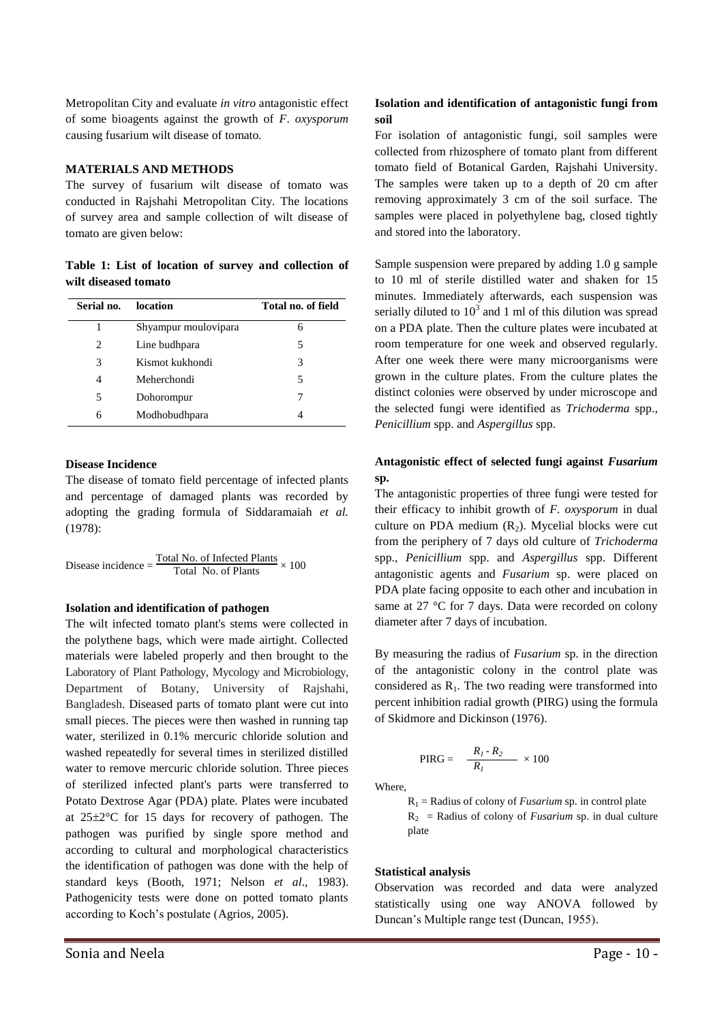Metropolitan City and evaluate *in vitro* antagonistic effect of some bioagents against the growth of *F*. *oxysporum*  causing fusarium wilt disease of tomato*.*

## **MATERIALS AND METHODS**

The survey of fusarium wilt disease of tomato was conducted in Rajshahi Metropolitan City. The locations of survey area and sample collection of wilt disease of tomato are given below:

**Table 1: List of location of survey and collection of wilt diseased tomato**

| Serial no. | location             | Total no. of field |
|------------|----------------------|--------------------|
| 1          | Shyampur moulovipara | 6                  |
| 2          | Line budhpara        | 5                  |
| 3          | Kismot kukhondi      | 3                  |
| 4          | Meherchondi          | 5                  |
| 5          | Dohorompur           |                    |
| 6          | Modhobudhpara        |                    |

#### **Disease Incidence**

The disease of tomato field percentage of infected plants and percentage of damaged plants was recorded by adopting the grading formula of Siddaramaiah *et al.* (1978):

Disease incidence  $=$   $\frac{\text{Total No. of Infected Plants}}{\text{Total No. of Plants}} \times 100$ 

## **Isolation and identification of pathogen**

The wilt infected tomato plant's stems were collected in the polythene bags, which were made airtight. Collected materials were labeled properly and then brought to the Laboratory of Plant Pathology, Mycology and Microbiology, Department of Botany, University of Rajshahi, Bangladesh. Diseased parts of tomato plant were cut into small pieces. The pieces were then washed in running tap water, sterilized in 0.1% mercuric chloride solution and washed repeatedly for several times in sterilized distilled water to remove mercuric chloride solution. Three pieces of sterilized infected plant's parts were transferred to Potato Dextrose Agar (PDA) plate. Plates were incubated at  $25\pm2\degree$ C for 15 days for recovery of pathogen. The pathogen was purified by single spore method and according to cultural and morphological characteristics the identification of pathogen was done with the help of standard keys (Booth, 1971; Nelson *et al*., 1983). Pathogenicity tests were done on potted tomato plants according to Koch's postulate (Agrios, 2005).

# **Isolation and identification of antagonistic fungi from soil**

For isolation of antagonistic fungi, soil samples were collected from rhizosphere of tomato plant from different tomato field of Botanical Garden, Rajshahi University. The samples were taken up to a depth of 20 cm after removing approximately 3 cm of the soil surface. The samples were placed in polyethylene bag, closed tightly and stored into the laboratory.

Sample suspension were prepared by adding 1.0 g sample to 10 ml of sterile distilled water and shaken for 15 minutes. Immediately afterwards, each suspension was serially diluted to  $10<sup>3</sup>$  and 1 ml of this dilution was spread on a PDA plate. Then the culture plates were incubated at room temperature for one week and observed regularly. After one week there were many microorganisms were grown in the culture plates. From the culture plates the distinct colonies were observed by under microscope and the selected fungi were identified as *Trichoderma* spp., *Penicillium* spp. and *Aspergillus* spp.

## **Antagonistic effect of selected fungi against** *Fusarium* **sp.**

The antagonistic properties of three fungi were tested for their efficacy to inhibit growth of *F. oxysporum* in dual culture on PDA medium  $(R_2)$ . Mycelial blocks were cut from the periphery of 7 days old culture of *Trichoderma*  spp., *Penicillium* spp. and *Aspergillus* spp. Different antagonistic agents and *Fusarium* sp. were placed on PDA plate facing opposite to each other and incubation in same at 27 °C for 7 days. Data were recorded on colony diameter after 7 days of incubation.

By measuring the radius of *Fusarium* sp. in the direction of the antagonistic colony in the control plate was considered as  $R_1$ . The two reading were transformed into percent inhibition radial growth (PIRG) using the formula of Skidmore and Dickinson (1976).

PIRG = 
$$
\frac{R_1 \cdot R_2}{R_1} \times 100
$$

Where,

 $R_1$  = Radius of colony of *Fusarium* sp. in control plate  $R_2$  = Radius of colony of *Fusarium* sp. in dual culture plate

## **Statistical analysis**

Observation was recorded and data were analyzed statistically using one way ANOVA followed by Duncan's Multiple range test (Duncan, 1955).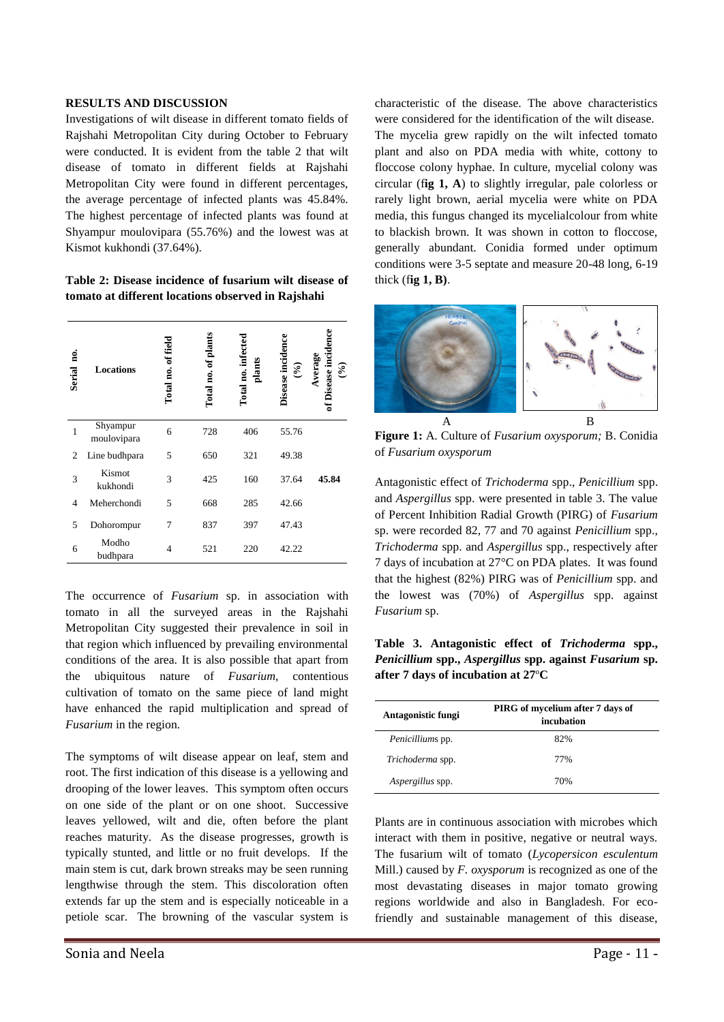### **RESULTS AND DISCUSSION**

Investigations of wilt disease in different tomato fields of Rajshahi Metropolitan City during October to February were conducted. It is evident from the table 2 that wilt disease of tomato in different fields at Rajshahi Metropolitan City were found in different percentages, the average percentage of infected plants was 45.84%. The highest percentage of infected plants was found at Shyampur moulovipara (55.76%) and the lowest was at Kismot kukhondi (37.64%).

**Table 2: Disease incidence of fusarium wilt disease of tomato at different locations observed in Rajshahi**

| g.<br>Serial | <b>Locations</b>        | Total no. of field | Total no. of plants | Total no. infected<br>plants | Disease incidence<br>$(\sqrt[6]{\bullet})$ | Disease incide<br>Average<br>$(\mathcal{C}_\bullet)$ |
|--------------|-------------------------|--------------------|---------------------|------------------------------|--------------------------------------------|------------------------------------------------------|
| 1            | Shyampur<br>moulovipara | 6                  | 728                 | 406                          | 55.76                                      |                                                      |
| 2            | Line budhpara           | 5                  | 650                 | 321                          | 49.38                                      |                                                      |
| 3            | Kismot<br>kukhondi      | 3                  | 425                 | 160                          | 37.64                                      | 45.84                                                |
| 4            | Meherchondi             | 5                  | 668                 | 285                          | 42.66                                      |                                                      |
| 5            | Dohorompur              | 7                  | 837                 | 397                          | 47.43                                      |                                                      |
| 6            | Modho<br>budhpara       | 4                  | 521                 | 220                          | 42.22                                      |                                                      |

The occurrence of *Fusarium* sp. in association with tomato in all the surveyed areas in the Rajshahi Metropolitan City suggested their prevalence in soil in that region which influenced by prevailing environmental conditions of the area. It is also possible that apart from the ubiquitous nature of *Fusarium,* contentious cultivation of tomato on the same piece of land might have enhanced the rapid multiplication and spread of *Fusarium* in the region.

The symptoms of wilt disease appear on leaf, stem and root. The first indication of this disease is a yellowing and drooping of the lower leaves. This symptom often occurs on one side of the plant or on one shoot. Successive leaves yellowed, wilt and die, often before the plant reaches maturity. As the disease progresses, growth is typically stunted, and little or no fruit develops. If the main stem is cut, dark brown streaks may be seen running lengthwise through the stem. This discoloration often extends far up the stem and is especially noticeable in a petiole scar. The browning of the vascular system is characteristic of the disease. The above characteristics were considered for the identification of the wilt disease. The mycelia grew rapidly on the wilt infected tomato plant and also on PDA media with white, cottony to floccose colony hyphae. In culture, mycelial colony was circular (f**ig 1, A**) to slightly irregular, pale colorless or rarely light brown, aerial mycelia were white on PDA media, this fungus changed its mycelialcolour from white to blackish brown. It was shown in cotton to floccose, generally abundant. Conidia formed under optimum conditions were 3-5 septate and measure 20-48 long, 6-19 thick (f**ig 1, B)**.



**Figure 1:** A. Culture of *Fusarium oxysporum;* B. Conidia of *Fusarium oxysporum*

Antagonistic effect of *Trichoderma* spp., *Penicillium* spp. and *Aspergillus* spp. were presented in table 3. The value of Percent Inhibition Radial Growth (PIRG) of *Fusarium*  sp. were recorded 82, 77 and 70 against *Penicillium* spp., *Trichoderma* spp. and *Aspergillus* spp., respectively after 7 days of incubation at 27°C on PDA plates. It was found that the highest (82%) PIRG was of *Penicillium* spp. and the lowest was (70%) of *Aspergillus* spp. against *Fusarium* sp.

**Table 3. Antagonistic effect of** *Trichoderma* **spp.,**  *Penicillium* **spp.,** *Aspergillus* **spp. against** *Fusarium* **sp. after 7 days of incubation at 27**º**C**

| Antagonistic fungi      | PIRG of mycelium after 7 days of<br>incubation |  |  |  |
|-------------------------|------------------------------------------------|--|--|--|
| <i>Penicilliums</i> pp. | 82%                                            |  |  |  |
| Trichoderma spp.        | 77%                                            |  |  |  |
| Aspergillus spp.        | 70%                                            |  |  |  |

Plants are in continuous association with microbes which interact with them in positive, negative or neutral ways. The fusarium wilt of tomato (*Lycopersicon esculentum*  Mill.) caused by *F. oxysporum* is recognized as one of the most devastating diseases in major tomato growing regions worldwide and also in Bangladesh. For ecofriendly and sustainable management of this disease,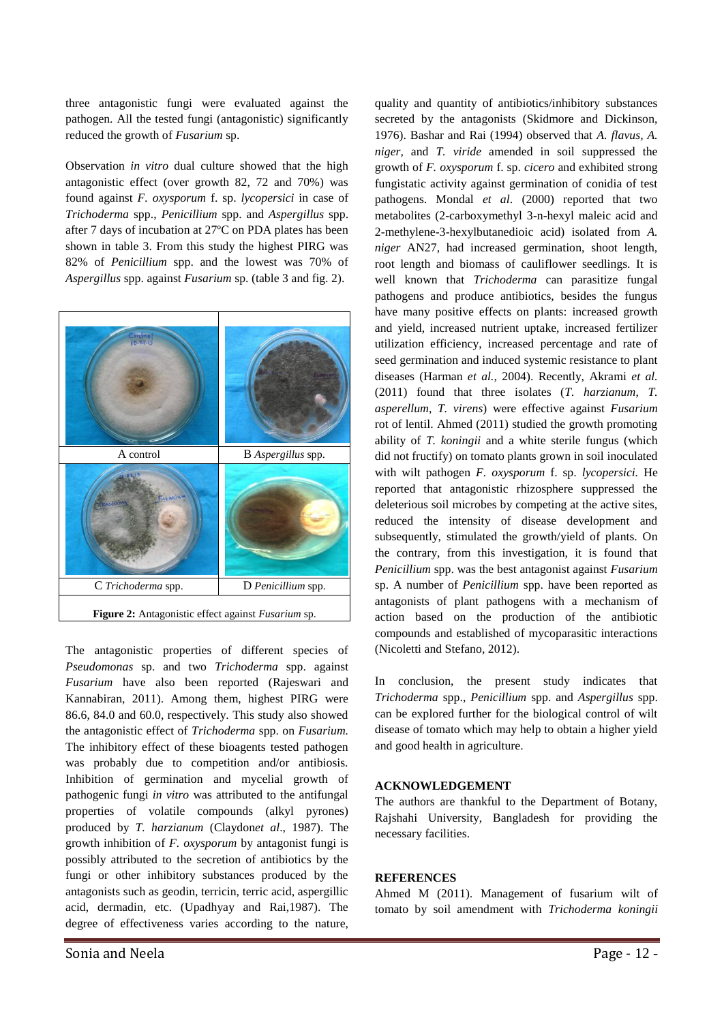three antagonistic fungi were evaluated against the pathogen. All the tested fungi (antagonistic) significantly reduced the growth of *Fusarium* sp.

Observation *in vitro* dual culture showed that the high antagonistic effect (over growth 82, 72 and 70%) was found against *F. oxysporum* f. sp. *lycopersici* in case of *Trichoderma* spp., *Penicillium* spp. and *Aspergillus* spp. after 7 days of incubation at 27ºC on PDA plates has been shown in table 3. From this study the highest PIRG was 82% of *Penicillium* spp. and the lowest was 70% of *Aspergillus* spp. against *Fusarium* sp. (table 3 and fig. 2).



The antagonistic properties of different species of *Pseudomonas* sp. and two *Trichoderma* spp. against *Fusarium* have also been reported (Rajeswari and Kannabiran, 2011). Among them, highest PIRG were 86.6, 84.0 and 60.0, respectively. This study also showed the antagonistic effect of *Trichoderma* spp. on *Fusarium.* The inhibitory effect of these bioagents tested pathogen was probably due to competition and/or antibiosis. Inhibition of germination and mycelial growth of pathogenic fungi *in vitro* was attributed to the antifungal properties of volatile compounds (alkyl pyrones) produced by *T. harzianum* (Claydon*et al*., 1987). The growth inhibition of *F. oxysporum* by antagonist fungi is possibly attributed to the secretion of antibiotics by the fungi or other inhibitory substances produced by the antagonists such as geodin, terricin, terric acid, aspergillic acid, dermadin, etc. (Upadhyay and Rai,1987). The degree of effectiveness varies according to the nature,

quality and quantity of antibiotics/inhibitory substances secreted by the antagonists (Skidmore and Dickinson, 1976). Bashar and Rai (1994) observed that *A. flavus, A. niger,* and *T. viride* amended in soil suppressed the growth of *F. oxysporum* f. sp. *cicero* and exhibited strong fungistatic activity against germination of conidia of test pathogens. Mondal *et al*. (2000) reported that two metabolites (2-carboxymethyl 3-n-hexyl maleic acid and 2-methylene-3-hexylbutanedioic acid) isolated from *A. niger* AN27, had increased germination, shoot length, root length and biomass of cauliflower seedlings. It is well known that *Trichoderma* can parasitize fungal pathogens and produce antibiotics, besides the fungus have many positive effects on plants: increased growth and yield, increased nutrient uptake, increased fertilizer utilization efficiency, increased percentage and rate of seed germination and induced systemic resistance to plant diseases (Harman *et al.,* 2004). Recently, Akrami *et al.* (2011) found that three isolates (*T. harzianum*, *T. asperellum*, *T. virens*) were effective against *Fusarium*  rot of lentil. Ahmed (2011) studied the growth promoting ability of *T. koningii* and a white sterile fungus (which did not fructify) on tomato plants grown in soil inoculated with wilt pathogen *F. oxysporum* f. sp. *lycopersici.* He reported that antagonistic rhizosphere suppressed the deleterious soil microbes by competing at the active sites, reduced the intensity of disease development and subsequently, stimulated the growth/yield of plants. On the contrary, from this investigation, it is found that *Penicillium* spp. was the best antagonist against *Fusarium*  sp. A number of *Penicillium* spp. have been reported as antagonists of plant pathogens with a mechanism of action based on the production of the antibiotic compounds and established of mycoparasitic interactions (Nicoletti and Stefano, 2012).

In conclusion, the present study indicates that *Trichoderma* spp., *Penicillium* spp. and *Aspergillus* spp. can be explored further for the biological control of wilt disease of tomato which may help to obtain a higher yield and good health in agriculture.

## **ACKNOWLEDGEMENT**

The authors are thankful to the Department of Botany, Rajshahi University, Bangladesh for providing the necessary facilities.

### **REFERENCES**

Ahmed M (2011). Management of fusarium wilt of tomato by soil amendment with *Trichoderma koningii*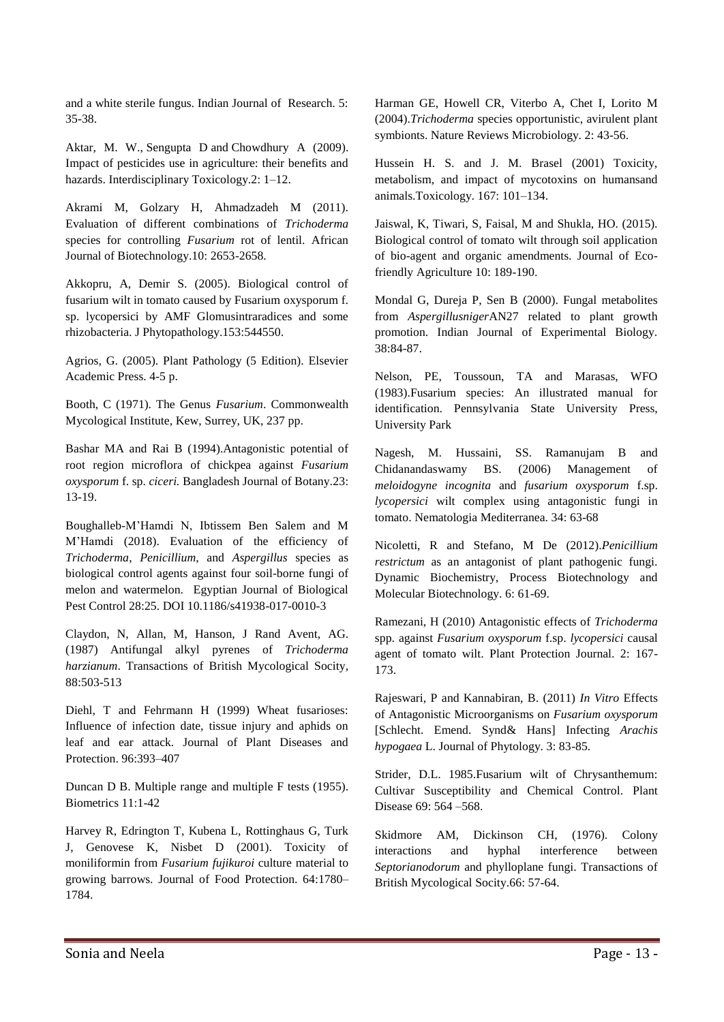and a white sterile fungus. Indian Journal of Research. 5: 35-38.

Aktar, M. W., Sengupta D and Chowdhury A (2009). Impact of pesticides use in agriculture: their benefits and hazards. Interdisciplinary Toxicology.2: 1–12.

Akrami M, Golzary H, Ahmadzadeh M (2011). Evaluation of different combinations of *Trichoderma*  species for controlling *Fusarium* rot of lentil. African Journal of Biotechnology.10: 2653-2658.

Akkopru, A, Demir S. (2005). Biological control of fusarium wilt in tomato caused by Fusarium oxysporum f. sp. lycopersici by AMF Glomusintraradices and some rhizobacteria. J Phytopathology.153:544550.

Agrios, G. (2005). Plant Pathology (5 Edition). Elsevier Academic Press. 4-5 p.

Booth, C (1971). The Genus *Fusarium*. Commonwealth Mycological Institute, Kew, Surrey, UK, 237 pp.

Bashar MA and Rai B (1994).Antagonistic potential of root region microflora of chickpea against *Fusarium oxysporum* f. sp. *ciceri.* Bangladesh Journal of Botany.23: 13-19.

Boughalleb-M'Hamdi N, Ibtissem Ben Salem and M M'Hamdi (2018). Evaluation of the efficiency of *Trichoderma*, *Penicillium*, and *Aspergillus* species as biological control agents against four soil-borne fungi of melon and watermelon. Egyptian Journal of Biological Pest Control 28:25. DOI 10.1186/s41938-017-0010-3

Claydon, N, Allan, M, Hanson, J Rand Avent, AG. (1987) Antifungal alkyl pyrenes of *Trichoderma harzianum*. Transactions of British Mycological Socity*,* 88:503-513

Diehl, T and Fehrmann H (1999) Wheat fusarioses: Influence of infection date, tissue injury and aphids on leaf and ear attack. Journal of Plant Diseases and Protection. 96:393–407

Duncan D B. Multiple range and multiple F tests (1955). Biometrics 11:1-42

Harvey R, Edrington T, Kubena L, Rottinghaus G, Turk J, Genovese K, Nisbet D (2001). Toxicity of moniliformin from *Fusarium fujikuroi* culture material to growing barrows. Journal of Food Protection. 64:1780– 1784.

Harman GE, Howell CR, Viterbo A, Chet I, Lorito M (2004).*Trichoderma* species opportunistic, avirulent plant symbionts. Nature Reviews Microbiology. 2: 43-56.

Hussein H. S. and J. M. Brasel (2001) Toxicity, metabolism, and impact of mycotoxins on humansand animals.Toxicology. 167: 101–134.

Jaiswal, K, Tiwari, S, Faisal, M and Shukla, HO. (2015). Biological control of tomato wilt through soil application of bio-agent and organic amendments. Journal of Ecofriendly Agriculture 10: 189-190.

Mondal G, Dureja P, Sen B (2000). Fungal metabolites from *Aspergillusniger*AN27 related to plant growth promotion. Indian Journal of Experimental Biology. 38:84-87.

Nelson, PE, Toussoun, TA and Marasas, WFO (1983).Fusarium species: An illustrated manual for identification. Pennsylvania State University Press, University Park

Nagesh, M. Hussaini, SS. Ramanujam B and Chidanandaswamy BS. (2006) Management of *meloidogyne incognita* and *fusarium oxysporum* f.sp. *lycopersici* wilt complex using antagonistic fungi in tomato. Nematologia Mediterranea. 34: 63-68

Nicoletti, R and Stefano, M De (2012).*Penicillium restrictum* as an antagonist of plant pathogenic fungi. Dynamic Biochemistry, Process Biotechnology and Molecular Biotechnology. 6: 61-69.

Ramezani, H (2010) Antagonistic effects of *Trichoderma* spp. against *Fusarium oxysporum* f.sp. *lycopersici* causal agent of tomato wilt. Plant Protection Journal. 2: 167- 173.

Rajeswari, P and Kannabiran, B. (2011) *In Vitro* Effects of Antagonistic Microorganisms on *Fusarium oxysporum* [Schlecht. Emend. Synd& Hans] Infecting *Arachis hypogaea* L. Journal of Phytology. 3: 83-85.

Strider, D.L. 1985.Fusarium wilt of Chrysanthemum: Cultivar Susceptibility and Chemical Control. Plant Disease 69: 564 –568.

Skidmore AM, Dickinson CH, (1976). Colony interactions and hyphal interference between *Septorianodorum* and phylloplane fungi. Transactions of British Mycological Socity.66: 57-64.